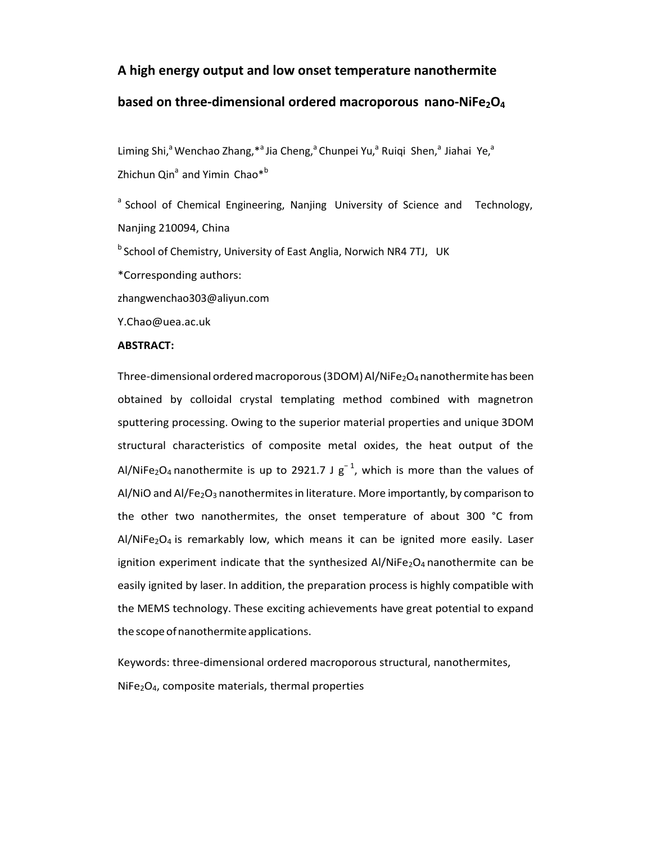# **A high energy output and low onset temperature nanothermite**

# **based on three-dimensional ordered macroporous nano-NiFe2O<sup>4</sup>**

Liming Shi,<sup>a</sup> Wenchao Zhang, \*<sup>a</sup> Jia Cheng,<sup>a</sup> Chunpei Yu,<sup>a</sup> Ruiqi Shen,<sup>a</sup> Jiahai Ye,<sup>a</sup> Zhichun Qin<sup>a</sup> and Yimin Chao<sup>\*b</sup>

<sup>a</sup> School of Chemical Engineering, Nanjing University of Science and Technology, Nanjing 210094, China

<sup>b</sup> School of Chemistry, University of East Anglia, Norwich NR4 7TJ, UK

\*Corresponding authors:

[zhangwenchao303@aliyun.com](mailto:zhangwenchao303@aliyun.com)

[Y.Chao@uea.ac.uk](mailto:Y.Chao@uea.ac.uk)

#### **ABSTRACT:**

Three-dimensional ordered macroporous (3DOM) Al/NiFe<sub>2</sub>O<sub>4</sub> nanothermite has been obtained by colloidal crystal templating method combined with magnetron sputtering processing. Owing to the superior material properties and unique 3DOM structural characteristics of composite metal oxides, the heat output of the Al/NiFe<sub>2</sub>O<sub>4</sub> nanothermite is up to 2921.7 J  $g^{-1}$ , which is more than the values of Al/NiO and Al/Fe<sub>2</sub>O<sub>3</sub> nanothermites in literature. More importantly, by comparison to the other two nanothermites, the onset temperature of about 300 °C from  $Al/NiFe<sub>2</sub>O<sub>4</sub>$  is remarkably low, which means it can be ignited more easily. Laser ignition experiment indicate that the synthesized  $AI/NiFe<sub>2</sub>O<sub>4</sub>$  nanothermite can be easily ignited by laser. In addition, the preparation process is highly compatible with the MEMS technology. These exciting achievements have great potential to expand the scope of nanothermite applications.

Keywords: three-dimensional ordered macroporous structural, nanothermites,  $NiFe<sub>2</sub>O<sub>4</sub>$ , composite materials, thermal properties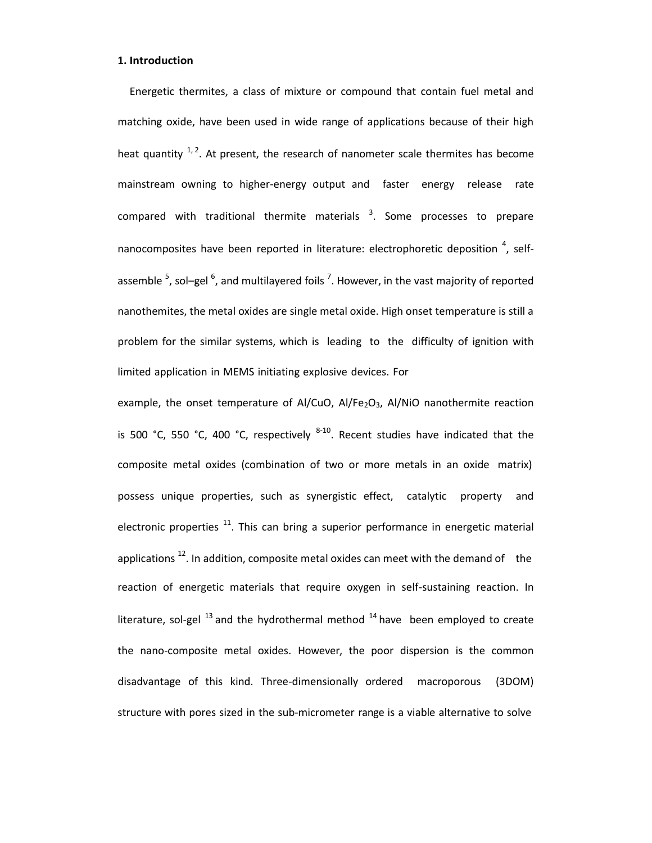#### **1. Introduction**

Energetic thermites, a class of mixture or compound that contain fuel metal and matching oxide, have been used in wide range of applications because of their high heat quantity  $1, 2$ . At present, the research of nanometer scale thermites has become mainstream owning to higher-energy output and faster energy release rate compared with traditional thermite materials  $3$ . Some processes to prepare nanocomposites have been reported in literature: electrophoretic deposition  $^{4}$ , selfassemble  $^5$ , sol-gel  $^6$ , and multilayered foils  $^7$ . However, in the vast majority of reported nanothemites, the metal oxides are single metal oxide. High onset temperature is still a problem for the similar systems, which is leading to the difficulty of ignition with limited application in MEMS initiating explosive devices. For

example, the onset temperature of Al/CuO, Al/Fe<sub>2</sub>O<sub>3</sub>, Al/NiO nanothermite reaction is 500 °C, 550 °C, 400 °C, respectively  $8-10$ . Recent studies have indicated that the composite metal oxides (combination of two or more metals in an oxide matrix) possess unique properties, such as synergistic effect, catalytic property and electronic properties  $11$ . This can bring a superior performance in energetic material applications  $^{12}$ . In addition, composite metal oxides can meet with the demand of the reaction of energetic materials that require oxygen in self-sustaining reaction. In literature, sol-gel  $^{13}$  and the hydrothermal method  $^{14}$  have been employed to create the nano-composite metal oxides. However, the poor dispersion is the common disadvantage of this kind. Three-dimensionally ordered macroporous (3DOM) structure with pores sized in the sub-micrometer range is a viable alternative to solve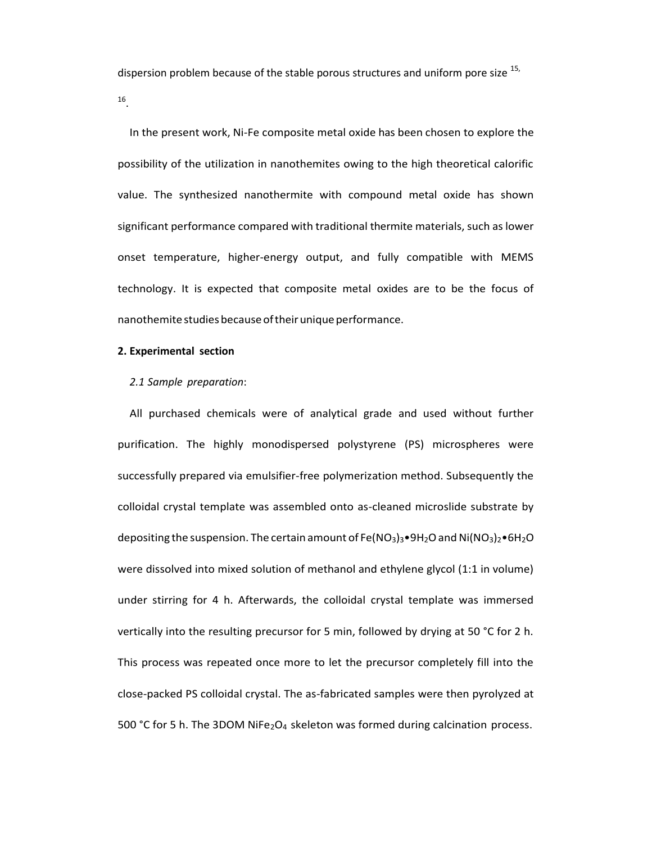dispersion problem because of the stable porous structures and uniform pore size <sup>15,</sup>

16 .

In the present work, Ni-Fe composite metal oxide has been chosen to explore the possibility of the utilization in nanothemites owing to the high theoretical calorific value. The synthesized nanothermite with compound metal oxide has shown significant performance compared with traditional thermite materials, such as lower onset temperature, higher-energy output, and fully compatible with MEMS technology. It is expected that composite metal oxides are to be the focus of nanothemite studies because of their unique performance.

### **2. Experimental section**

#### *2.1 Sample preparation*:

All purchased chemicals were of analytical grade and used without further purification. The highly monodispersed polystyrene (PS) microspheres were successfully prepared via emulsifier-free polymerization method. Subsequently the colloidal crystal template was assembled onto as-cleaned microslide substrate by depositing the suspension. The certain amount of Fe(NO<sub>3</sub>)<sub>3</sub>•9H<sub>2</sub>O and Ni(NO<sub>3</sub>)<sub>2</sub>•6H<sub>2</sub>O were dissolved into mixed solution of methanol and ethylene glycol (1:1 in volume) under stirring for 4 h. Afterwards, the colloidal crystal template was immersed vertically into the resulting precursor for 5 min, followed by drying at 50 °C for 2 h. This process was repeated once more to let the precursor completely fill into the close-packed PS colloidal crystal. The as-fabricated samples were then pyrolyzed at 500 °C for 5 h. The 3DOM NiFe<sub>2</sub>O<sub>4</sub> skeleton was formed during calcination process.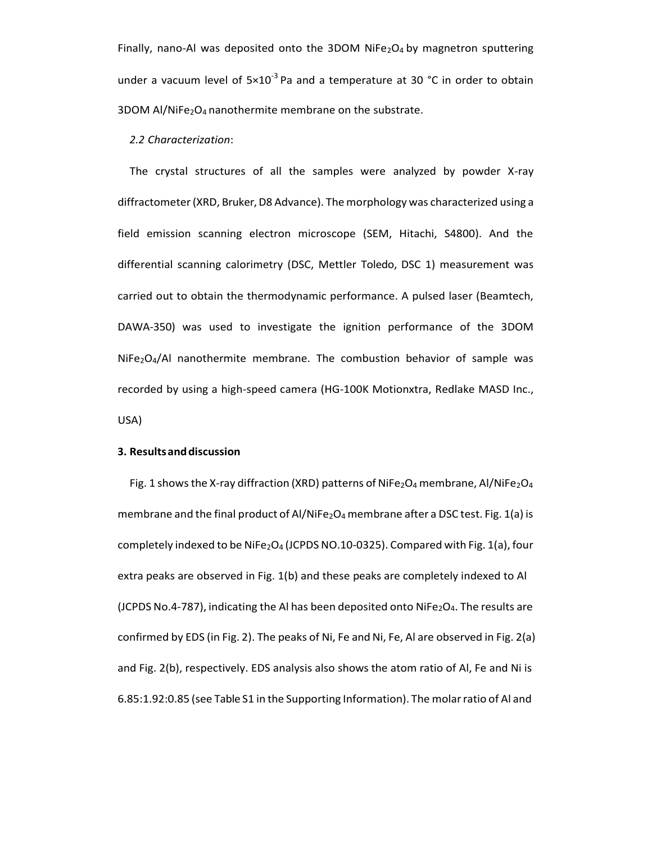Finally, nano-Al was deposited onto the 3DOM NiFe $_2$ O<sub>4</sub> by magnetron sputtering under a vacuum level of  $5\times10^{-3}$  Pa and a temperature at 30 °C in order to obtain 3DOM Al/NiFe2O<sub>4</sub> nanothermite membrane on the substrate.

#### *2.2 Characterization*:

The crystal structures of all the samples were analyzed by powder X-ray diffractometer(XRD, Bruker,D8 Advance). The morphology was characterized using a field emission scanning electron microscope (SEM, Hitachi, S4800). And the differential scanning calorimetry (DSC, Mettler Toledo, DSC 1) measurement was carried out to obtain the thermodynamic performance. A pulsed laser (Beamtech, DAWA-350) was used to investigate the ignition performance of the 3DOM  $NiFe<sub>2</sub>O<sub>4</sub>/Al$  nanothermite membrane. The combustion behavior of sample was recorded by using a high-speed camera (HG-100K Motionxtra, Redlake MASD Inc., USA)

#### **3. Resultsanddiscussion**

Fig. 1 shows the X-ray diffraction (XRD) patterns of NiFe<sub>2</sub>O<sub>4</sub> membrane, Al/NiFe<sub>2</sub>O<sub>4</sub> membrane and the final product of Al/NiFe<sub>2</sub>O<sub>4</sub> membrane after a DSC test. Fig. 1(a) is completely indexed to be NiFe<sub>2</sub>O<sub>4</sub> (JCPDS NO.10-0325). Compared with Fig. 1(a), four extra peaks are observed in Fig. 1(b) and these peaks are completely indexed to Al (JCPDS No.4-787), indicating the Al has been deposited onto NiFe<sub>2</sub>O<sub>4</sub>. The results are confirmed by EDS (in Fig. 2). The peaks of Ni, Fe and Ni, Fe, Al are observed in Fig. 2(a) and Fig. 2(b), respectively. EDS analysis also shows the atom ratio of Al, Fe and Ni is 6.85:1.92:0.85 (see Table S1 in the Supporting Information). The molarratio of Al and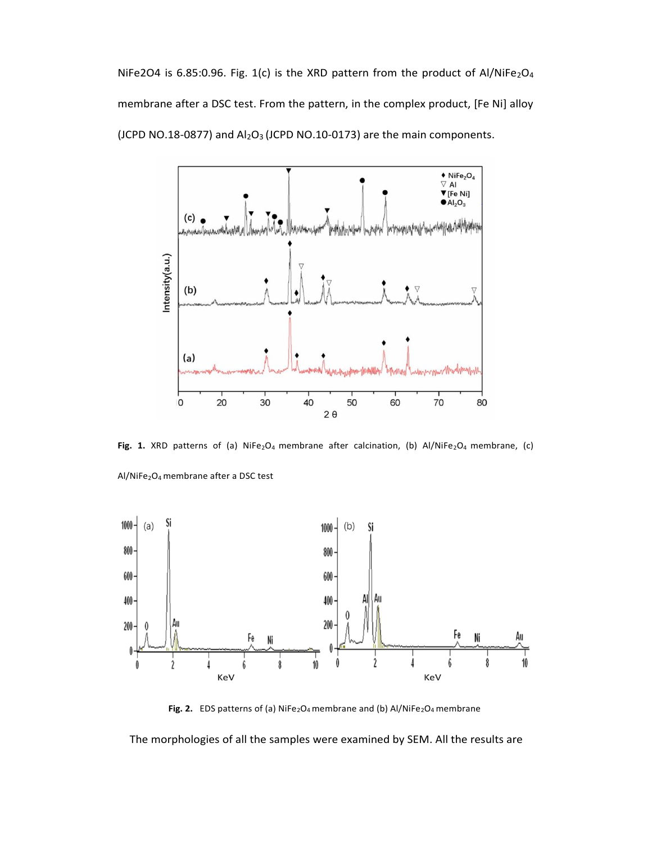NiFe2O4 is 6.85:0.96. Fig. 1(c) is the XRD pattern from the product of Al/NiFe<sub>2</sub>O<sub>4</sub> membrane after a DSC test. From the pattern, in the complex product, [Fe Ni] alloy (JCPD NO.18-0877) and  $Al_2O_3$  (JCPD NO.10-0173) are the main components.



Fig. 1. XRD patterns of (a) NiFe<sub>2</sub>O<sub>4</sub> membrane after calcination, (b) Al/NiFe<sub>2</sub>O<sub>4</sub> membrane, (c)





Fig. 2. EDS patterns of (a) NiFe<sub>2</sub>O<sub>4</sub> membrane and (b) Al/NiFe<sub>2</sub>O<sub>4</sub> membrane

The morphologies of all the samples were examined by SEM. All the results are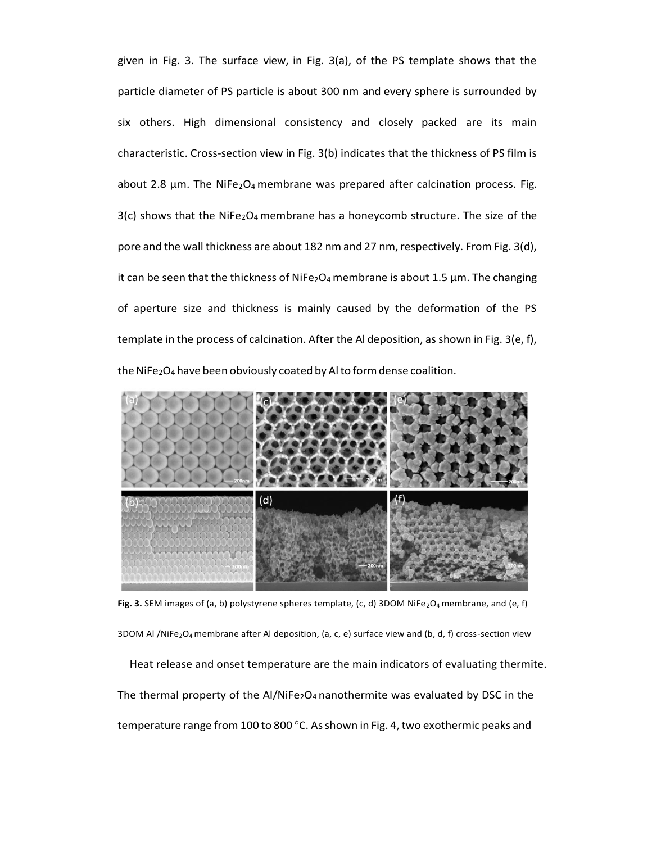given in Fig. 3. The surface view, in Fig. 3(a), of the PS template shows that the particle diameter of PS particle is about 300 nm and every sphere is surrounded by six others. High dimensional consistency and closely packed are its main characteristic. Cross-section view in Fig. 3(b) indicates that the thickness of PS film is about 2.8  $\mu$ m. The NiFe<sub>2</sub>O<sub>4</sub> membrane was prepared after calcination process. Fig.  $3(c)$  shows that the NiFe<sub>2</sub>O<sub>4</sub> membrane has a honeycomb structure. The size of the pore and the wall thickness are about 182 nm and 27 nm, respectively. From Fig.  $3(d)$ , it can be seen that the thickness of NiFe<sub>2</sub>O<sub>4</sub> membrane is about 1.5  $\mu$ m. The changing of aperture size and thickness is mainly caused by the deformation of the PS template in the process of calcination. After the Al deposition, asshown in Fig. 3(e, f), the NiFe<sub>2</sub>O<sub>4</sub> have been obviously coated by Alto form dense coalition.



Fig. 3. SEM images of (a, b) polystyrene spheres template, (c, d) 3DOM NiFe<sub>2</sub>O<sub>4</sub> membrane, and (e, f)

3DOM Al /NiFe<sub>2</sub>O<sub>4</sub> membrane after Al deposition, (a, c, e) surface view and (b, d, f) cross-section view Heat release and onset temperature are the main indicators of evaluating thermite. The thermal property of the Al/NiFe<sub>2</sub>O<sub>4</sub> nanothermite was evaluated by DSC in the temperature range from 100 to 800 °C. As shown in Fig. 4, two exothermic peaks and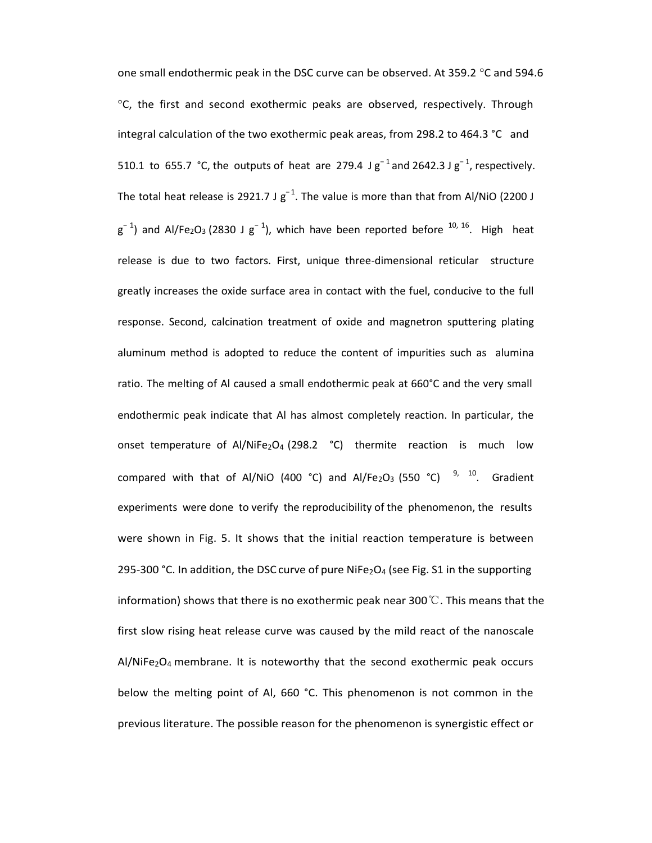one small endothermic peak in the DSC curve can be observed. At 359.2  $\degree$ C and 594.6  $\degree$ C, the first and second exothermic peaks are observed, respectively. Through integral calculation of the two exothermic peak areas, from 298.2 to 464.3 °C and 510.1 to 655.7 °C, the outputs of heat are 279.4 J  $g^{-1}$  and 2642.3 J  $g^{-1}$ , respectively. The total heat release is 2921.7 J  $g^{-1}$ . The value is more than that from Al/NiO (2200 J  $g^{-1}$ ) and Al/Fe<sub>2</sub>O<sub>3</sub> (2830 J  $g^{-1}$ ), which have been reported before <sup>10, 16</sup>. High heat release is due to two factors. First, unique three-dimensional reticular structure greatly increases the oxide surface area in contact with the fuel, conducive to the full response. Second, calcination treatment of oxide and magnetron sputtering plating aluminum method is adopted to reduce the content of impurities such as alumina ratio. The melting of Al caused a small endothermic peak at 660°C and the very small endothermic peak indicate that Al has almost completely reaction. In particular, the onset temperature of Al/NiFe<sub>2</sub>O<sub>4</sub> (298.2  $\degree$ C) thermite reaction is much low compared with that of Al/NiO (400 °C) and Al/Fe<sub>2</sub>O<sub>3</sub> (550 °C)  $97, 10$ . Gradient experiments were done to verify the reproducibility of the phenomenon, the results were shown in Fig. 5. It shows that the initial reaction temperature is between 295-300 °C. In addition, the DSC curve of pure NiFe<sub>2</sub>O<sub>4</sub> (see Fig. S1 in the supporting information) shows that there is no exothermic peak near 300 °C. This means that the first slow rising heat release curve was caused by the mild react of the nanoscale  $AI/NiFe<sub>2</sub>O<sub>4</sub>$  membrane. It is noteworthy that the second exothermic peak occurs below the melting point of Al, 660 °C. This phenomenon is not common in the previous literature. The possible reason for the phenomenon is synergistic effect or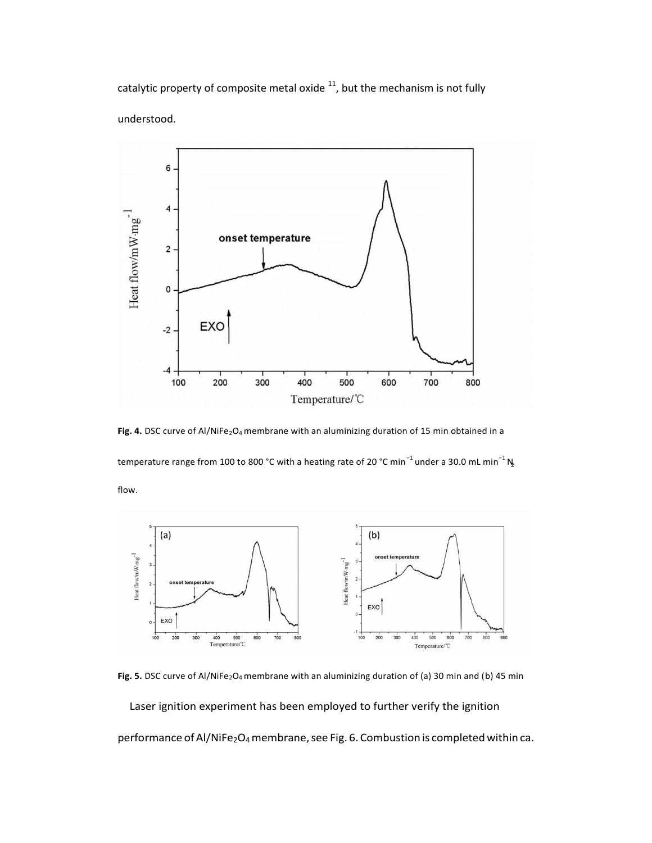catalytic property of composite metal oxide  $11$ , but the mechanism is not fully understood.



temperature range from 100 to 800 °C with a heating rate of 20 °C min $^{-1}$  under a 30.0 mL min $^{-1}$  N Fig. 4. DSC curve of Al/NiFe<sub>2</sub>O<sub>4</sub> membrane with an aluminizing duration of 15 min obtained in a

flow.



Fig. 5. DSC curve of Al/NiFe<sub>2</sub>O<sub>4</sub> membrane with an aluminizing duration of (a) 30 min and (b) 45 min

Laser ignition experiment has been employed to further verify the ignition

performance of Al/NiFe2O<sub>4</sub> membrane, see Fig. 6. Combustion is completed within ca.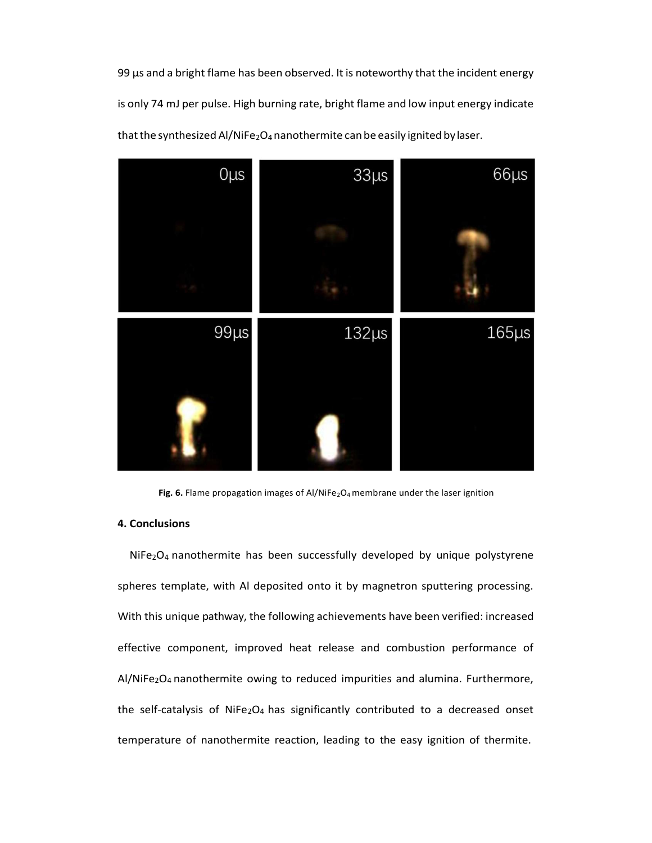99 μs and a bright flame has been observed. It is noteworthy that the incident energy is only 74 mJ per pulse. High burning rate, bright flame and low input energy indicate that the synthesized Al/NiFe2O<sub>4</sub> nanothermite can be easily ignited by laser.



Fig. 6. Flame propagation images of Al/NiFe<sub>2</sub>O<sub>4</sub> membrane under the laser ignition

## **4. Conclusions**

 $NiFe<sub>2</sub>O<sub>4</sub>$  nanothermite has been successfully developed by unique polystyrene spheres template, with Al deposited onto it by magnetron sputtering processing. With this unique pathway, the following achievements have been verified: increased effective component, improved heat release and combustion performance of Al/NiFe<sub>2</sub>O<sub>4</sub> nanothermite owing to reduced impurities and alumina. Furthermore, the self-catalysis of NiFe<sub>2</sub>O<sub>4</sub> has significantly contributed to a decreased onset temperature of nanothermite reaction, leading to the easy ignition of thermite.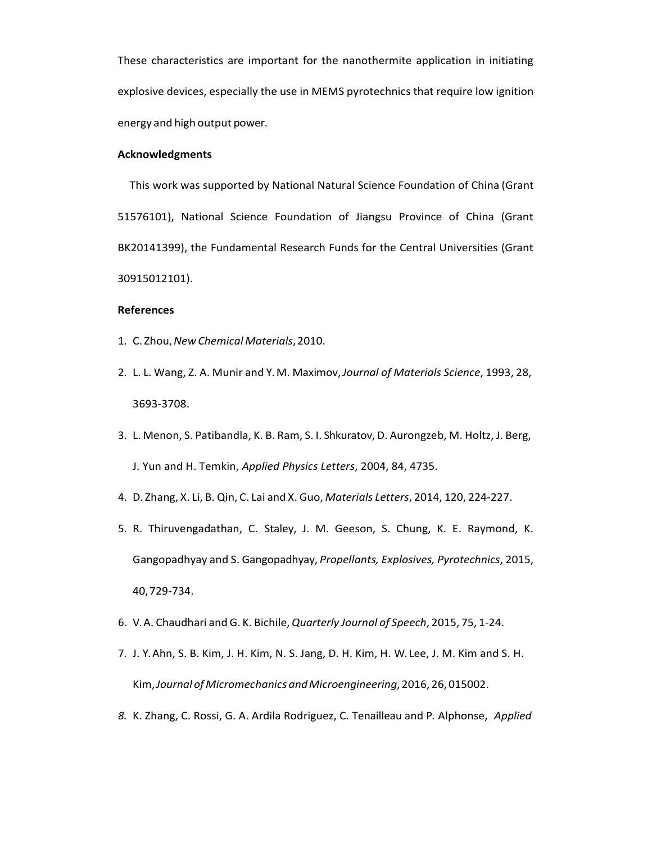These characteristics are important for the nanothermite application in initiating explosive devices, especially the use in MEMS pyrotechnics that require low ignition energy and high output power.

#### **Acknowledgments**

This work was supported by National Natural Science Foundation of China (Grant 51576101), National Science Foundation of Jiangsu Province of China (Grant BK20141399), the Fundamental Research Funds for the Central Universities (Grant 30915012101).

## **References**

- 1. C. Zhou,*NewChemical Materials*,2010.
- 2. L. L. Wang, Z. A. Munir and Y. M. Maximov,*Journal of Materials Science*, 1993, 28, 3693-3708.
- 3. L. Menon, S. Patibandla, K. B. Ram, S. I. Shkuratov, D. Aurongzeb, M. Holtz, J. Berg, J. Yun and H. Temkin, *Applied Physics Letters*, 2004, 84, 4735.
- 4. D. Zhang, X. Li, B. Qin, C. Lai and X. Guo, *Materials Letters*, 2014, 120, 224-227.
- 5. R. Thiruvengadathan, C. Staley, J. M. Geeson, S. Chung, K. E. Raymond, K. Gangopadhyay and S. Gangopadhyay, *Propellants, Explosives, Pyrotechnics*, 2015, 40,729-734.
- 6. V.A. Chaudhari andG. K. Bichile,*Quarterly Journal of Speech*, 2015, 75, 1-24.
- 7. J. Y. Ahn, S. B. Kim, J. H. Kim, N. S. Jang, D. H. Kim, H. W. Lee, J. M. Kim and S. H. Kim,*Journal of Micromechanics andMicroengineering*,2016, 26,015002.
- *8.* K. Zhang, C. Rossi, G. A. Ardila Rodriguez, C. Tenailleau and P. Alphonse, *Applied*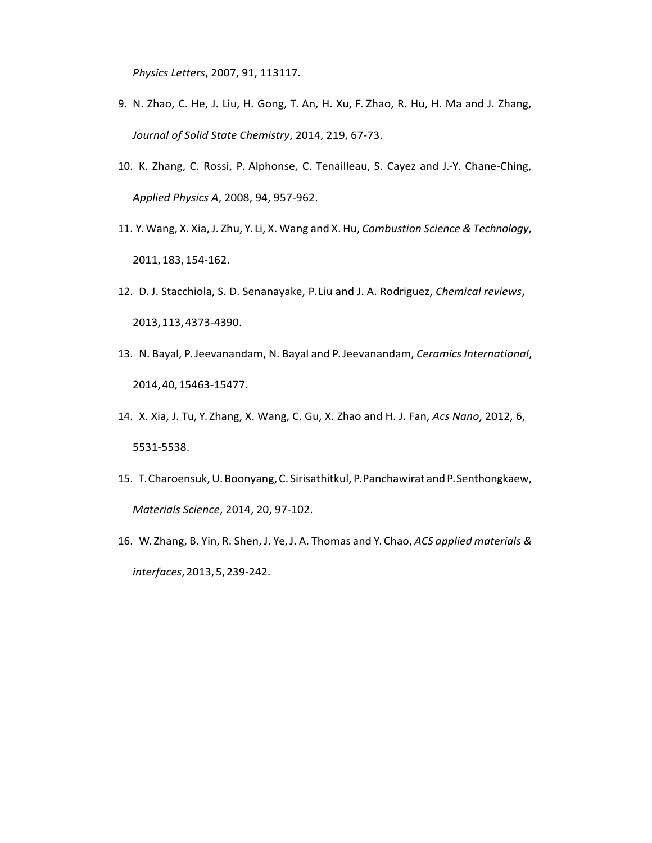*Physics Letters*, 2007, 91, 113117.

- 9. N. Zhao, C. He, J. Liu, H. Gong, T. An, H. Xu, F. Zhao, R. Hu, H. Ma and J. Zhang, *Journal of Solid State Chemistry*, 2014, 219, 67-73.
- 10. K. Zhang, C. Rossi, P. Alphonse, C. Tenailleau, S. Cayez and J.-Y. Chane-Ching, *Applied Physics A*, 2008, 94, 957-962.
- 11. Y.Wang, X. Xia, J. Zhu, Y. Li, X. Wang and X. Hu, *Combustion Science & Technology*, 2011,183, 154-162.
- 12. D. J. Stacchiola, S. D. Senanayake, P. Liu and J. A. Rodriguez, *Chemical reviews*, 2013,113,4373-4390.
- 13. N. Bayal, P. Jeevanandam, N. Bayal and P. Jeevanandam, *Ceramics International*, 2014,40,15463-15477.
- 14. X. Xia, J. Tu, Y. Zhang, X. Wang, C. Gu, X. Zhao and H. J. Fan, *Acs Nano*, 2012, 6, 5531-5538.
- 15. T.Charoensuk,U.Boonyang, C. Sirisathitkul, P.Panchawirat andP.Senthongkaew, *Materials Science*, 2014, 20, 97-102.
- 16. W. Zhang, B. Yin, R. Shen, J. Ye,J. A. Thomas and Y. Chao, *ACS applied materials & interfaces*,2013,5,239-242.